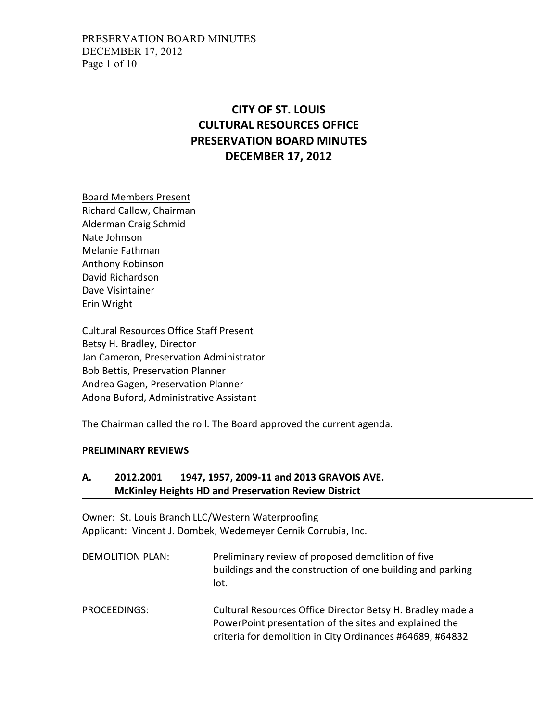### PRESERVATION BOARD MINUTES DECEMBER 17, 2012 Page 1 of 10

# **CITY OF ST. LOUIS CULTURAL RESOURCES OFFICE PRESERVATION BOARD MINUTES DECEMBER 17, 2012**

Board Members Present

Richard Callow, Chairman Alderman Craig Schmid Nate Johnson Melanie Fathman Anthony Robinson David Richardson Dave Visintainer Erin Wright

Cultural Resources Office Staff Present Betsy H. Bradley, Director Jan Cameron, Preservation Administrator Bob Bettis, Preservation Planner Andrea Gagen, Preservation Planner Adona Buford, Administrative Assistant

The Chairman called the roll. The Board approved the current agenda.

#### **PRELIMINARY REVIEWS**

# **A. 2012.2001 1947, 1957, 2009-11 and 2013 GRAVOIS AVE. McKinley Heights HD and Preservation Review District**

Owner: St. Louis Branch LLC/Western Waterproofing Applicant: Vincent J. Dombek, Wedemeyer Cernik Corrubia, Inc.

| <b>DEMOLITION PLAN:</b> | Preliminary review of proposed demolition of five<br>buildings and the construction of one building and parking<br>lot.                                                           |
|-------------------------|-----------------------------------------------------------------------------------------------------------------------------------------------------------------------------------|
| PROCEEDINGS:            | Cultural Resources Office Director Betsy H. Bradley made a<br>PowerPoint presentation of the sites and explained the<br>criteria for demolition in City Ordinances #64689, #64832 |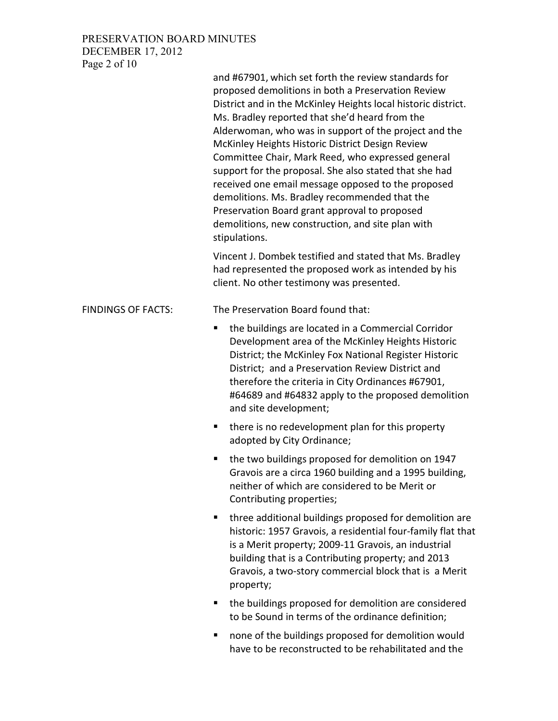# PRESERVATION BOARD MINUTES DECEMBER 17, 2012 Page 2 of 10

|                           | and #67901, which set forth the review standards for<br>proposed demolitions in both a Preservation Review<br>District and in the McKinley Heights local historic district.<br>Ms. Bradley reported that she'd heard from the<br>Alderwoman, who was in support of the project and the<br>McKinley Heights Historic District Design Review<br>Committee Chair, Mark Reed, who expressed general<br>support for the proposal. She also stated that she had<br>received one email message opposed to the proposed<br>demolitions. Ms. Bradley recommended that the<br>Preservation Board grant approval to proposed<br>demolitions, new construction, and site plan with<br>stipulations. |
|---------------------------|-----------------------------------------------------------------------------------------------------------------------------------------------------------------------------------------------------------------------------------------------------------------------------------------------------------------------------------------------------------------------------------------------------------------------------------------------------------------------------------------------------------------------------------------------------------------------------------------------------------------------------------------------------------------------------------------|
|                           | Vincent J. Dombek testified and stated that Ms. Bradley<br>had represented the proposed work as intended by his<br>client. No other testimony was presented.                                                                                                                                                                                                                                                                                                                                                                                                                                                                                                                            |
| <b>FINDINGS OF FACTS:</b> | The Preservation Board found that:                                                                                                                                                                                                                                                                                                                                                                                                                                                                                                                                                                                                                                                      |
|                           | the buildings are located in a Commercial Corridor<br>П<br>Development area of the McKinley Heights Historic<br>District; the McKinley Fox National Register Historic<br>District; and a Preservation Review District and<br>therefore the criteria in City Ordinances #67901,<br>#64689 and #64832 apply to the proposed demolition<br>and site development;                                                                                                                                                                                                                                                                                                                           |
|                           | there is no redevelopment plan for this property<br>п<br>adopted by City Ordinance;                                                                                                                                                                                                                                                                                                                                                                                                                                                                                                                                                                                                     |
|                           | the two buildings proposed for demolition on 1947<br>п<br>Gravois are a circa 1960 building and a 1995 building,<br>neither of which are considered to be Merit or<br>Contributing properties;                                                                                                                                                                                                                                                                                                                                                                                                                                                                                          |
|                           | three additional buildings proposed for demolition are<br>٠<br>historic: 1957 Gravois, a residential four-family flat that<br>is a Merit property; 2009-11 Gravois, an industrial<br>building that is a Contributing property; and 2013<br>Gravois, a two-story commercial block that is a Merit<br>property;                                                                                                                                                                                                                                                                                                                                                                           |
|                           | the buildings proposed for demolition are considered<br>п<br>to be Sound in terms of the ordinance definition;                                                                                                                                                                                                                                                                                                                                                                                                                                                                                                                                                                          |
|                           | اوارزمن بممننا مومول برمة اومعموموس معمرناوانيط مطعة                                                                                                                                                                                                                                                                                                                                                                                                                                                                                                                                                                                                                                    |

 none of the buildings proposed for demolition would have to be reconstructed to be rehabilitated and the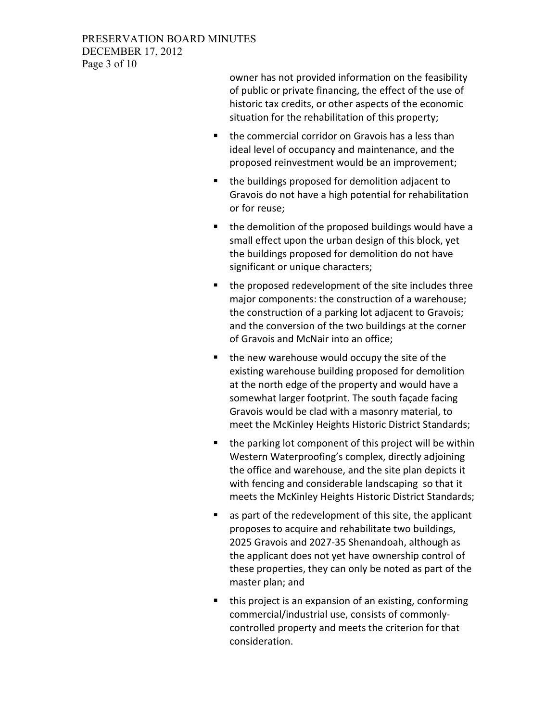### PRESERVATION BOARD MINUTES DECEMBER 17, 2012 Page 3 of 10

owner has not provided information on the feasibility of public or private financing, the effect of the use of historic tax credits, or other aspects of the economic situation for the rehabilitation of this property;

- the commercial corridor on Gravois has a less than ideal level of occupancy and maintenance, and the proposed reinvestment would be an improvement;
- the buildings proposed for demolition adjacent to Gravois do not have a high potential for rehabilitation or for reuse;
- the demolition of the proposed buildings would have a small effect upon the urban design of this block, yet the buildings proposed for demolition do not have significant or unique characters;
- the proposed redevelopment of the site includes three major components: the construction of a warehouse; the construction of a parking lot adjacent to Gravois; and the conversion of the two buildings at the corner of Gravois and McNair into an office;
- the new warehouse would occupy the site of the existing warehouse building proposed for demolition at the north edge of the property and would have a somewhat larger footprint. The south façade facing Gravois would be clad with a masonry material, to meet the McKinley Heights Historic District Standards;
- $\blacksquare$  the parking lot component of this project will be within Western Waterproofing's complex, directly adjoining the office and warehouse, and the site plan depicts it with fencing and considerable landscaping so that it meets the McKinley Heights Historic District Standards;
- as part of the redevelopment of this site, the applicant proposes to acquire and rehabilitate two buildings, 2025 Gravois and 2027-35 Shenandoah, although as the applicant does not yet have ownership control of these properties, they can only be noted as part of the master plan; and
- this project is an expansion of an existing, conforming commercial/industrial use, consists of commonlycontrolled property and meets the criterion for that consideration.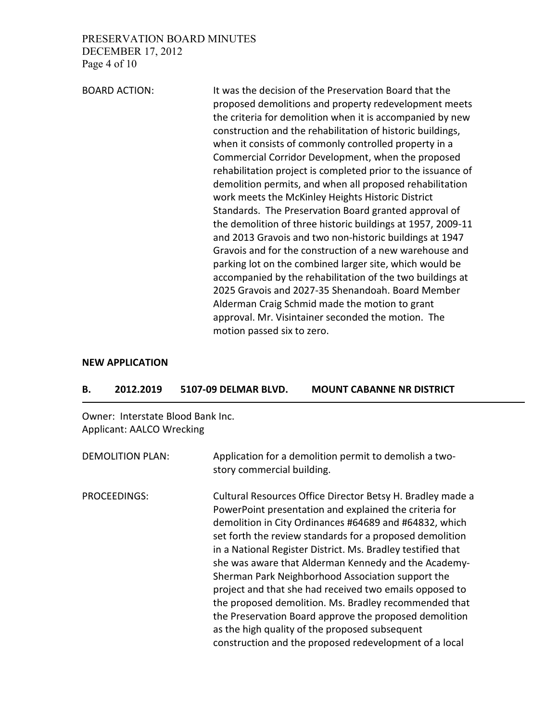PRESERVATION BOARD MINUTES DECEMBER 17, 2012 Page 4 of 10

BOARD ACTION: It was the decision of the Preservation Board that the proposed demolitions and property redevelopment meets the criteria for demolition when it is accompanied by new construction and the rehabilitation of historic buildings, when it consists of commonly controlled property in a Commercial Corridor Development, when the proposed rehabilitation project is completed prior to the issuance of demolition permits, and when all proposed rehabilitation work meets the McKinley Heights Historic District Standards. The Preservation Board granted approval of the demolition of three historic buildings at 1957, 2009-11 and 2013 Gravois and two non-historic buildings at 1947 Gravois and for the construction of a new warehouse and parking lot on the combined larger site, which would be accompanied by the rehabilitation of the two buildings at 2025 Gravois and 2027-35 Shenandoah. Board Member Alderman Craig Schmid made the motion to grant approval. Mr. Visintainer seconded the motion. The motion passed six to zero.

#### **NEW APPLICATION**

| <b>MOUNT CABANNE NR DISTRICT</b><br>5107-09 DELMAR BLVD.<br>2012.2019<br>В. |  |
|-----------------------------------------------------------------------------|--|
|-----------------------------------------------------------------------------|--|

Owner: Interstate Blood Bank Inc. Applicant: AALCO Wrecking

DEMOLITION PLAN: Application for a demolition permit to demolish a twostory commercial building.

PROCEEDINGS: Cultural Resources Office Director Betsy H. Bradley made a PowerPoint presentation and explained the criteria for demolition in City Ordinances #64689 and #64832, which set forth the review standards for a proposed demolition in a National Register District. Ms. Bradley testified that she was aware that Alderman Kennedy and the Academy-Sherman Park Neighborhood Association support the project and that she had received two emails opposed to the proposed demolition. Ms. Bradley recommended that the Preservation Board approve the proposed demolition as the high quality of the proposed subsequent construction and the proposed redevelopment of a local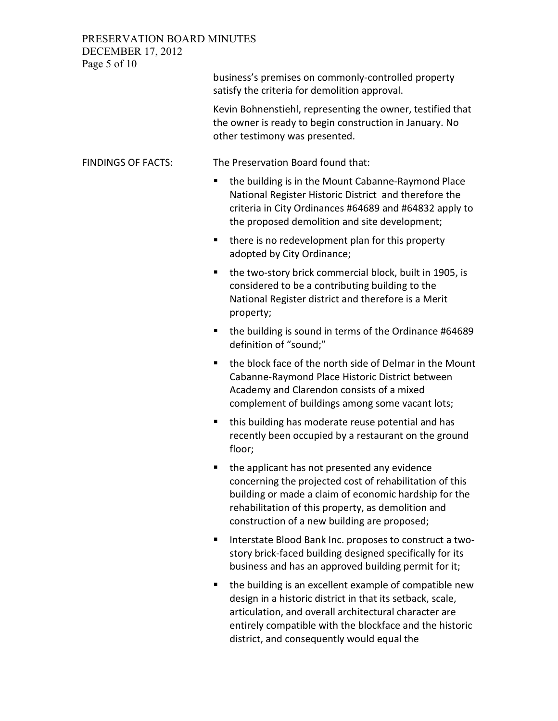PRESERVATION BOARD MINUTES DECEMBER 17, 2012

Page 5 of 10 business's premises on commonly-controlled property satisfy the criteria for demolition approval. Kevin Bohnenstiehl, representing the owner, testified that the owner is ready to begin construction in January. No other testimony was presented. FINDINGS OF FACTS: The Preservation Board found that: the building is in the Mount Cabanne-Raymond Place National Register Historic District and therefore the criteria in City Ordinances #64689 and #64832 apply to the proposed demolition and site development; **there is no redevelopment plan for this property** adopted by City Ordinance; ■ the two-story brick commercial block, built in 1905, is considered to be a contributing building to the National Register district and therefore is a Merit property; ■ the building is sound in terms of the Ordinance #64689 definition of "sound;" ■ the block face of the north side of Delmar in the Mount Cabanne-Raymond Place Historic District between Academy and Clarendon consists of a mixed complement of buildings among some vacant lots; ■ this building has moderate reuse potential and has recently been occupied by a restaurant on the ground floor; the applicant has not presented any evidence concerning the projected cost of rehabilitation of this

- building or made a claim of economic hardship for the rehabilitation of this property, as demolition and construction of a new building are proposed;
- Interstate Blood Bank Inc. proposes to construct a twostory brick-faced building designed specifically for its business and has an approved building permit for it;
- the building is an excellent example of compatible new design in a historic district in that its setback, scale, articulation, and overall architectural character are entirely compatible with the blockface and the historic district, and consequently would equal the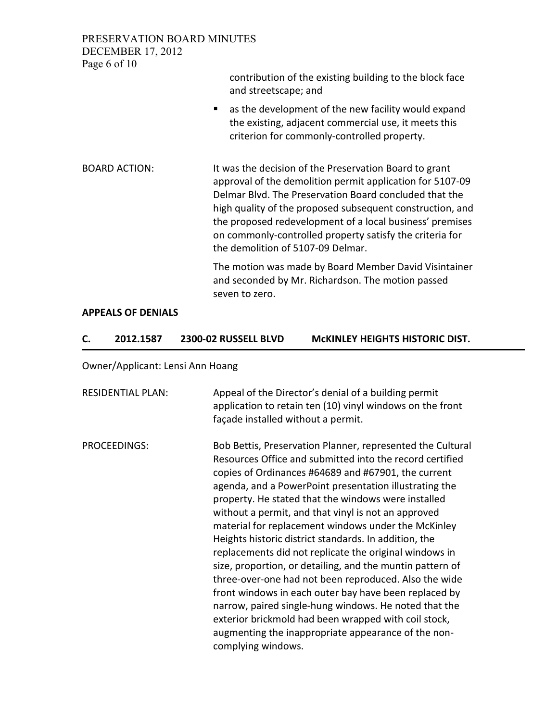PRESERVATION BOARD MINUTES DECEMBER 17, 2012 Page 6 of 10

contribution of the existing building to the block face and streetscape; and **E** as the development of the new facility would expand the existing, adjacent commercial use, it meets this criterion for commonly-controlled property. BOARD ACTION: It was the decision of the Preservation Board to grant approval of the demolition permit application for 5107-09 Delmar Blvd. The Preservation Board concluded that the high quality of the proposed subsequent construction, and the proposed redevelopment of a local business' premises on commonly-controlled property satisfy the criteria for the demolition of 5107-09 Delmar. The motion was made by Board Member David Visintainer and seconded by Mr. Richardson. The motion passed seven to zero.

#### **APPEALS OF DENIALS**

| 2012.1587 | 2300-02 RUSSELL BLVD | <b>MCKINLEY HEIGHTS HISTORIC DIST.</b> |
|-----------|----------------------|----------------------------------------|
|           |                      |                                        |

Owner/Applicant: Lensi Ann Hoang

| <b>RESIDENTIAL PLAN:</b> | Appeal of the Director's denial of a building permit<br>application to retain ten (10) vinyl windows on the front<br>façade installed without a permit.                                                                                                                                                                                                                                                                                                                                                                                                                                                                                                                                                                                                                                                                                                                                                      |
|--------------------------|--------------------------------------------------------------------------------------------------------------------------------------------------------------------------------------------------------------------------------------------------------------------------------------------------------------------------------------------------------------------------------------------------------------------------------------------------------------------------------------------------------------------------------------------------------------------------------------------------------------------------------------------------------------------------------------------------------------------------------------------------------------------------------------------------------------------------------------------------------------------------------------------------------------|
| PROCEEDINGS:             | Bob Bettis, Preservation Planner, represented the Cultural<br>Resources Office and submitted into the record certified<br>copies of Ordinances #64689 and #67901, the current<br>agenda, and a PowerPoint presentation illustrating the<br>property. He stated that the windows were installed<br>without a permit, and that vinyl is not an approved<br>material for replacement windows under the McKinley<br>Heights historic district standards. In addition, the<br>replacements did not replicate the original windows in<br>size, proportion, or detailing, and the muntin pattern of<br>three-over-one had not been reproduced. Also the wide<br>front windows in each outer bay have been replaced by<br>narrow, paired single-hung windows. He noted that the<br>exterior brickmold had been wrapped with coil stock,<br>augmenting the inappropriate appearance of the non-<br>complying windows. |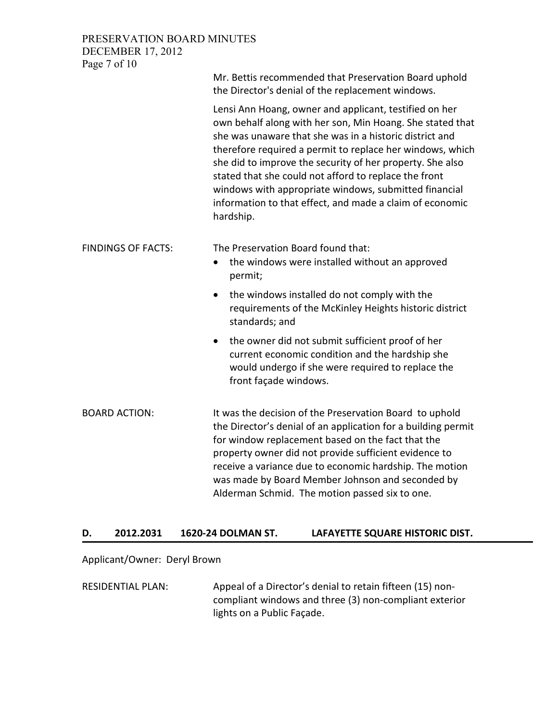### PRESERVATION BOARD MINUTES DECEMBER 17, 2012 Page 7 of 10

|                           | Mr. Bettis recommended that Preservation Board uphold<br>the Director's denial of the replacement windows.                                                                                                                                                                                                                                                                                                                                                                                          |
|---------------------------|-----------------------------------------------------------------------------------------------------------------------------------------------------------------------------------------------------------------------------------------------------------------------------------------------------------------------------------------------------------------------------------------------------------------------------------------------------------------------------------------------------|
|                           | Lensi Ann Hoang, owner and applicant, testified on her<br>own behalf along with her son, Min Hoang. She stated that<br>she was unaware that she was in a historic district and<br>therefore required a permit to replace her windows, which<br>she did to improve the security of her property. She also<br>stated that she could not afford to replace the front<br>windows with appropriate windows, submitted financial<br>information to that effect, and made a claim of economic<br>hardship. |
| <b>FINDINGS OF FACTS:</b> | The Preservation Board found that:<br>the windows were installed without an approved<br>$\bullet$<br>permit;                                                                                                                                                                                                                                                                                                                                                                                        |
|                           | the windows installed do not comply with the<br>requirements of the McKinley Heights historic district<br>standards; and                                                                                                                                                                                                                                                                                                                                                                            |
|                           | the owner did not submit sufficient proof of her<br>$\bullet$<br>current economic condition and the hardship she<br>would undergo if she were required to replace the<br>front façade windows.                                                                                                                                                                                                                                                                                                      |
| <b>BOARD ACTION:</b>      | It was the decision of the Preservation Board to uphold<br>the Director's denial of an application for a building permit<br>for window replacement based on the fact that the<br>property owner did not provide sufficient evidence to<br>receive a variance due to economic hardship. The motion<br>was made by Board Member Johnson and seconded by<br>Alderman Schmid. The motion passed six to one.                                                                                             |

### **D. 2012.2031 1620-24 DOLMAN ST. LAFAYETTE SQUARE HISTORIC DIST.**

### Applicant/Owner: Deryl Brown

RESIDENTIAL PLAN: Appeal of a Director's denial to retain fifteen (15) noncompliant windows and three (3) non-compliant exterior lights on a Public Façade.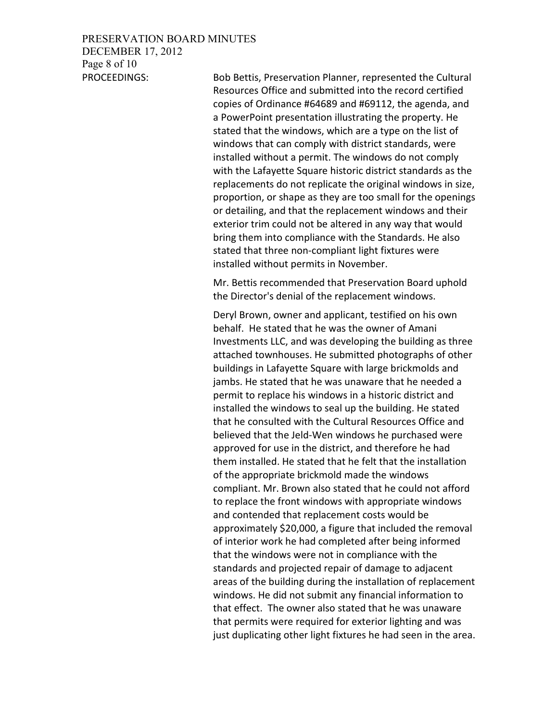### PRESERVATION BOARD MINUTES

DECEMBER 17, 2012 Page 8 of 10

PROCEEDINGS: Bob Bettis, Preservation Planner, represented the Cultural Resources Office and submitted into the record certified copies of Ordinance #64689 and #69112, the agenda, and a PowerPoint presentation illustrating the property. He stated that the windows, which are a type on the list of windows that can comply with district standards, were installed without a permit. The windows do not comply with the Lafayette Square historic district standards as the replacements do not replicate the original windows in size, proportion, or shape as they are too small for the openings or detailing, and that the replacement windows and their exterior trim could not be altered in any way that would bring them into compliance with the Standards. He also stated that three non-compliant light fixtures were installed without permits in November.

> Mr. Bettis recommended that Preservation Board uphold the Director's denial of the replacement windows.

Deryl Brown, owner and applicant, testified on his own behalf. He stated that he was the owner of Amani Investments LLC, and was developing the building as three attached townhouses. He submitted photographs of other buildings in Lafayette Square with large brickmolds and jambs. He stated that he was unaware that he needed a permit to replace his windows in a historic district and installed the windows to seal up the building. He stated that he consulted with the Cultural Resources Office and believed that the Jeld-Wen windows he purchased were approved for use in the district, and therefore he had them installed. He stated that he felt that the installation of the appropriate brickmold made the windows compliant. Mr. Brown also stated that he could not afford to replace the front windows with appropriate windows and contended that replacement costs would be approximately \$20,000, a figure that included the removal of interior work he had completed after being informed that the windows were not in compliance with the standards and projected repair of damage to adjacent areas of the building during the installation of replacement windows. He did not submit any financial information to that effect. The owner also stated that he was unaware that permits were required for exterior lighting and was just duplicating other light fixtures he had seen in the area.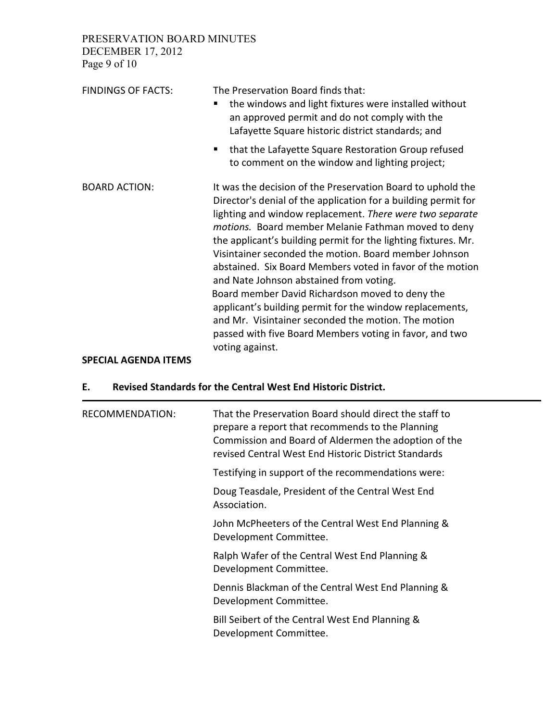PRESERVATION BOARD MINUTES DECEMBER 17, 2012

Page 9 of 10

| <b>FINDINGS OF FACTS:</b> | The Preservation Board finds that:<br>the windows and light fixtures were installed without<br>an approved permit and do not comply with the<br>Lafayette Square historic district standards; and                                                                                                                                                                                                                                                                                                                                                                                                                                                                                                                                       |
|---------------------------|-----------------------------------------------------------------------------------------------------------------------------------------------------------------------------------------------------------------------------------------------------------------------------------------------------------------------------------------------------------------------------------------------------------------------------------------------------------------------------------------------------------------------------------------------------------------------------------------------------------------------------------------------------------------------------------------------------------------------------------------|
|                           | that the Lafayette Square Restoration Group refused<br>٠<br>to comment on the window and lighting project;                                                                                                                                                                                                                                                                                                                                                                                                                                                                                                                                                                                                                              |
| <b>BOARD ACTION:</b>      | It was the decision of the Preservation Board to uphold the<br>Director's denial of the application for a building permit for<br>lighting and window replacement. There were two separate<br>motions. Board member Melanie Fathman moved to deny<br>the applicant's building permit for the lighting fixtures. Mr.<br>Visintainer seconded the motion. Board member Johnson<br>abstained. Six Board Members voted in favor of the motion<br>and Nate Johnson abstained from voting.<br>Board member David Richardson moved to deny the<br>applicant's building permit for the window replacements,<br>and Mr. Visintainer seconded the motion. The motion<br>passed with five Board Members voting in favor, and two<br>voting against. |

# **SPECIAL AGENDA ITEMS**

# **E. Revised Standards for the Central West End Historic District.**

| <b>RECOMMENDATION:</b> | That the Preservation Board should direct the staff to<br>prepare a report that recommends to the Planning<br>Commission and Board of Aldermen the adoption of the<br>revised Central West End Historic District Standards |
|------------------------|----------------------------------------------------------------------------------------------------------------------------------------------------------------------------------------------------------------------------|
|                        | Testifying in support of the recommendations were:                                                                                                                                                                         |
|                        | Doug Teasdale, President of the Central West End<br>Association.                                                                                                                                                           |
|                        | John McPheeters of the Central West End Planning &<br>Development Committee.                                                                                                                                               |
|                        | Ralph Wafer of the Central West End Planning &<br>Development Committee.                                                                                                                                                   |
|                        | Dennis Blackman of the Central West End Planning &<br>Development Committee.                                                                                                                                               |
|                        | Bill Seibert of the Central West End Planning &<br>Development Committee.                                                                                                                                                  |